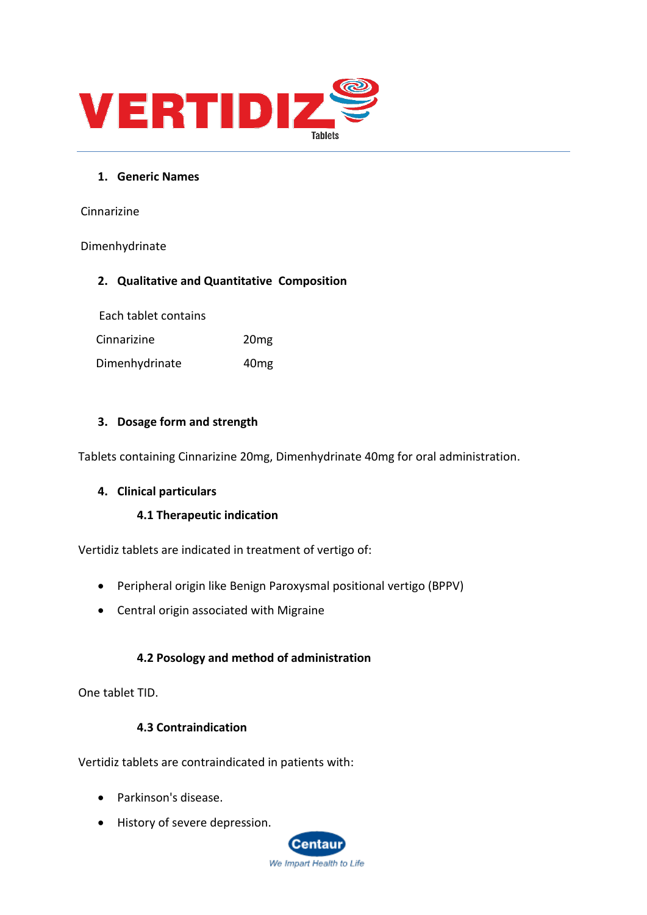

## **1. Generic Names**

Cinnarizine

### Dimenhydrinate

# **2. Qualitative and Quantitative Composition**

Each tablet contains

Cinnarizine 20mg

Dimenhydrinate 40mg

# **3. Dosage form and strength**

Tablets containing Cinnarizine 20mg, Dimenhydrinate 40mg for oral administration.

### **4. Clinical particulars**

### **4.1 Therapeutic indication**

Vertidiz tablets are indicated in treatment of vertigo of:

- Peripheral origin like Benign Paroxysmal positional vertigo (BPPV)
- Central origin associated with Migraine

# **4.2 Posology and method of administration**

One tablet TID.

### **4.3 Contraindication**

Vertidiz tablets are contraindicated in patients with:

- Parkinson's disease.
- History of severe depression.

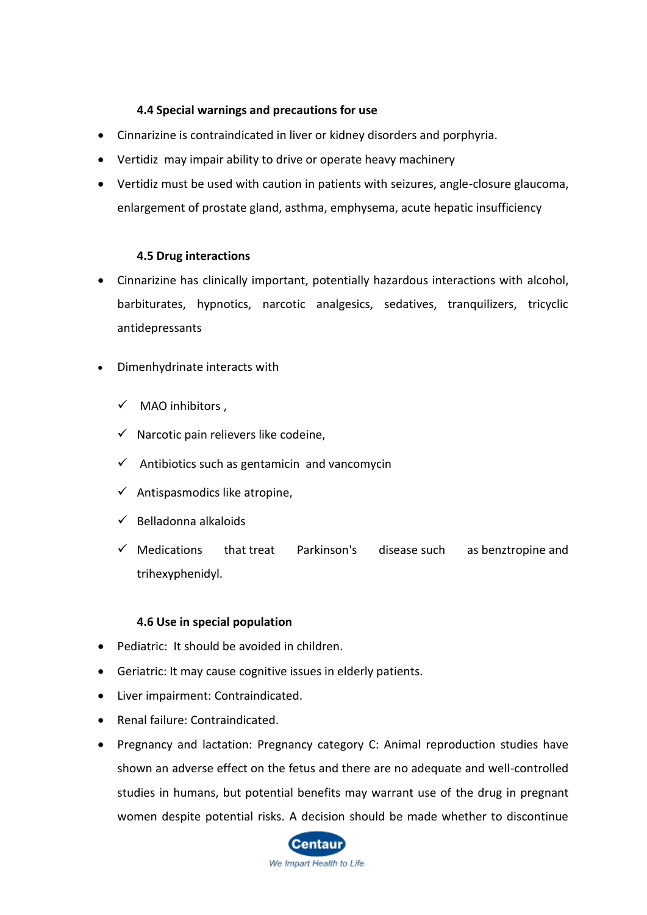# **4.4 Special warnings and precautions for use**

- Cinnarizine is contraindicated in liver or kidney disorders and porphyria.
- Vertidiz may impair ability to drive or operate heavy machinery
- Vertidiz must be used with caution in patients with seizures, angle-closure glaucoma, enlargement of prostate gland, asthma, emphysema, acute hepatic insufficiency

### **4.5 Drug interactions**

- Cinnarizine has clinically important, potentially hazardous interactions with alcohol, barbiturates, hypnotics, narcotic analgesics, sedatives, tranquilizers, tricyclic antidepressants
- Dimenhydrinate interacts with
	- $\checkmark$  MAO inhibitors,
	- $\checkmark$  Narcotic pain relievers like [codeine,](https://www.everydayhealth.com/drugs/codeine)
	- $\checkmark$  Antibiotics such as [gentamicin](https://www.everydayhealth.com/drugs/gentamicin) and [vancomycin](https://www.everydayhealth.com/drugs/vancomycin)
	- $\checkmark$  Antispasmodics like [atropine,](https://www.everydayhealth.com/drugs/atropine)
	- $\checkmark$  Belladonna alkaloids
	- $\checkmark$  Medications that [treat Parkinson's disease](https://www.everydayhealth.com/parkinsons-disease/guide/) such as [benztropine](https://www.everydayhealth.com/drugs/benztropine) and trihexyphenidyl.

### **4.6 Use in special population**

- Pediatric: It should be avoided in children.
- Geriatric: It may cause cognitive issues in elderly patients.
- Liver impairment: Contraindicated.
- Renal failure: Contraindicated.
- Pregnancy and lactation: Pregnancy category C: Animal reproduction studies have shown an adverse effect on the fetus and there are no adequate and well-controlled studies in humans, but potential benefits may warrant use of the drug in pregnant women despite potential risks. A decision should be made whether to discontinue

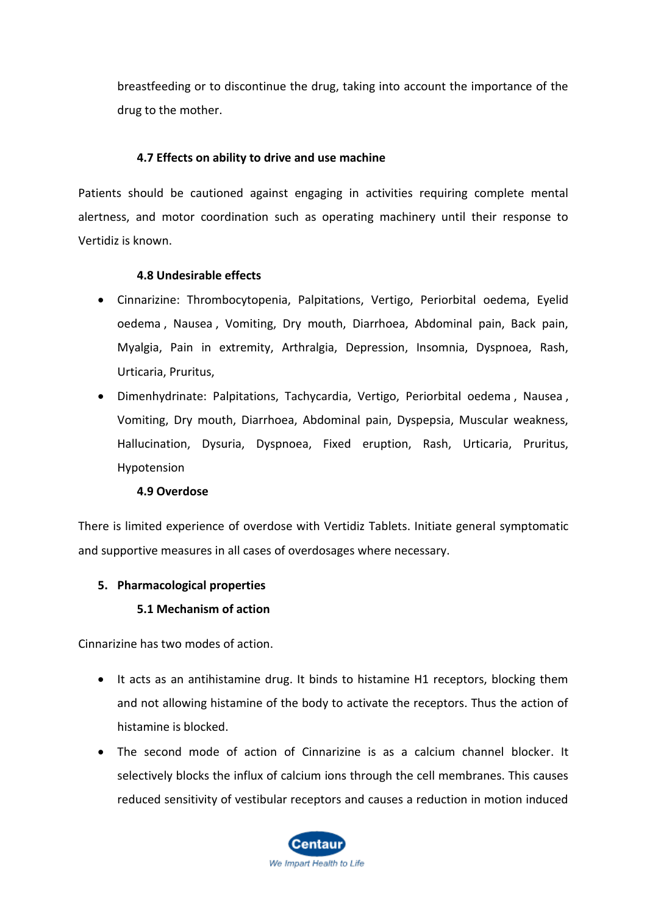breastfeeding or to discontinue the drug, taking into account the importance of the drug to the mother.

# **4.7 Effects on ability to drive and use machine**

Patients should be cautioned against engaging in activities requiring complete mental alertness, and motor coordination such as operating machinery until their response to Vertidiz is known.

# **4.8 Undesirable effects**

- Cinnarizine: Thrombocytopenia, Palpitations, Vertigo, Periorbital oedema, Eyelid oedema , Nausea , Vomiting, Dry mouth, Diarrhoea, Abdominal pain, Back pain, Myalgia, Pain in extremity, Arthralgia, Depression, Insomnia, Dyspnoea, Rash, Urticaria, Pruritus,
- Dimenhydrinate: Palpitations, Tachycardia, Vertigo, Periorbital oedema , Nausea , Vomiting, Dry mouth, Diarrhoea, Abdominal pain, Dyspepsia, Muscular weakness, Hallucination, Dysuria, Dyspnoea, Fixed eruption, Rash, Urticaria, Pruritus, Hypotension

### **4.9 Overdose**

There is limited experience of overdose with Vertidiz Tablets. Initiate general symptomatic and supportive measures in all cases of overdosages where necessary.

### **5. Pharmacological properties**

### **5.1 Mechanism of action**

Cinnarizine has two modes of action.

- It acts as an antihistamine drug. It binds to histamine H1 receptors, blocking them and not allowing histamine of the body to activate the receptors. Thus the action of histamine is blocked.
- The second mode of action of Cinnarizine is as a calcium channel blocker. It selectively blocks the influx of calcium ions through the cell membranes. This causes reduced sensitivity of vestibular receptors and causes a reduction in motion induced

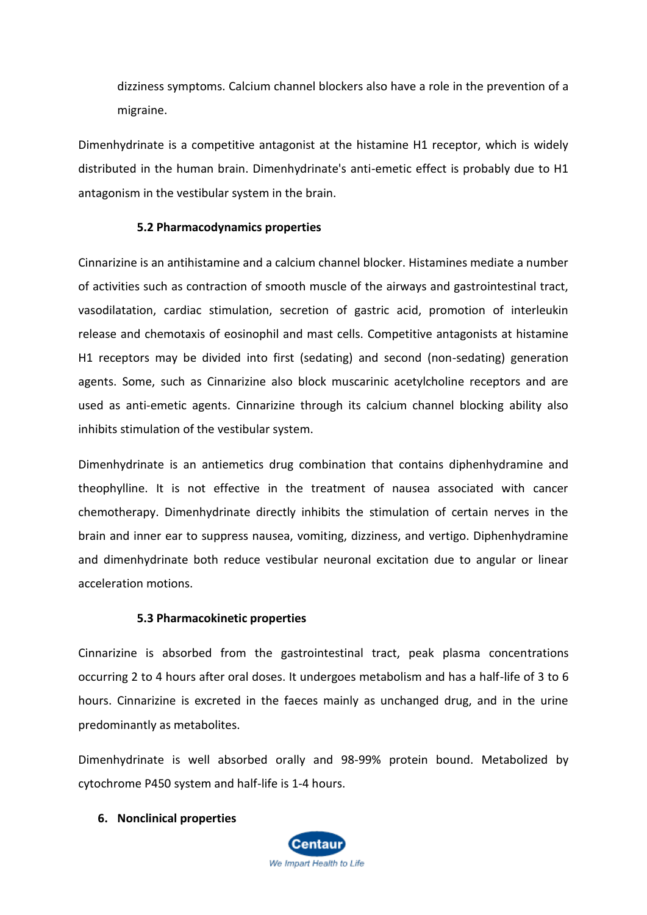dizziness symptoms. Calcium channel blockers also have a role in the prevention of a migraine.

Dimenhydrinate is a competitive antagonist at the histamine H1 receptor, which is widely distributed in the human brain. Dimenhydrinate's anti-emetic effect is probably due to H1 antagonism in the vestibular system in the brain.

#### **5.2 Pharmacodynamics properties**

Cinnarizine is an antihistamine and a calcium channel blocker. Histamines mediate a number of activities such as contraction of smooth muscle of the airways and gastrointestinal tract, vasodilatation, cardiac stimulation, secretion of gastric acid, promotion of interleukin release and chemotaxis of eosinophil and mast cells. Competitive antagonists at histamine H1 receptors may be divided into first (sedating) and second (non-sedating) generation agents. Some, such as Cinnarizine also block muscarinic acetylcholine receptors and are used as anti-emetic agents. Cinnarizine through its calcium channel blocking ability also inhibits stimulation of the vestibular system.

Dimenhydrinate is an antiemetics drug combination that contains diphenhydramine and theophylline. It is not effective in the treatment of nausea associated with cancer chemotherapy. Dimenhydrinate directly inhibits the stimulation of certain nerves in the brain and inner ear to suppress nausea, vomiting, dizziness, and vertigo. Diphenhydramine and dimenhydrinate both reduce vestibular neuronal excitation due to angular or linear acceleration motions.

#### **5.3 Pharmacokinetic properties**

Cinnarizine is absorbed from the gastrointestinal tract, peak plasma concentrations occurring 2 to 4 hours after oral doses. It undergoes metabolism and has a half-life of 3 to 6 hours. Cinnarizine is excreted in the faeces mainly as unchanged drug, and in the urine predominantly as metabolites.

Dimenhydrinate is well absorbed orally and 98-99% protein bound. Metabolized by cytochrome P450 system and half-life is 1-4 hours.

#### **6. Nonclinical properties**

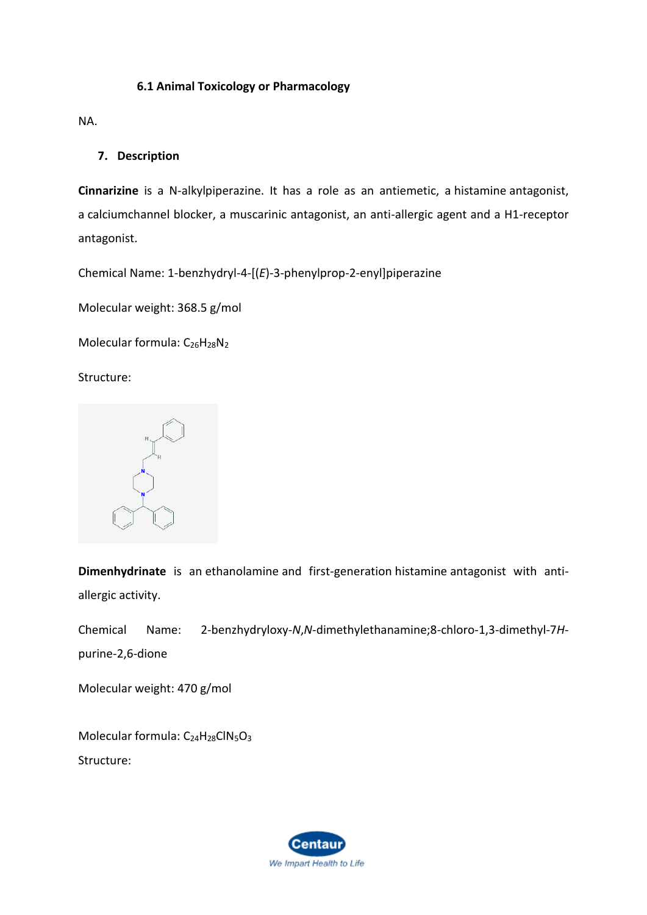# **6.1 Animal Toxicology or Pharmacology**

NA.

## **7. Description**

**Cinnarizine** is a N-alkylpiperazine. It has a role as an antiemetic, a [histamine](https://pubchem.ncbi.nlm.nih.gov/compound/histamine) antagonist, a [calciumc](https://pubchem.ncbi.nlm.nih.gov/element/Calcium)hannel blocker, a muscarinic antagonist, an anti-allergic agent and a H1-receptor antagonist.

Chemical Name: 1-benzhydryl-4-[(*E*)-3-phenylprop-2-enyl]piperazine

Molecular weight: 368.5 g/mol

Molecular formula: [C](https://pubchem.ncbi.nlm.nih.gov/#query=C26H28N2)<sub>26</sub>H<sub>28</sub>N<sub>2</sub>

Structure:



**Dimenhydrinate** is an [ethanolamine](https://pubchem.ncbi.nlm.nih.gov/compound/ethanolamine) and first-generation [histamine](https://pubchem.ncbi.nlm.nih.gov/compound/histamine) antagonist with antiallergic activity.

Chemical Name: 2-benzhydryloxy-*N*,*N*-dimethylethanamine;8-chloro-1,3-dimethyl-7*H*purine-2,6-dione

Molecular weight: 470 g/mol

Molecular formula: C<sub>24</sub>H<sub>28</sub>[ClN](https://pubchem.ncbi.nlm.nih.gov/#query=C24H28ClN5O3)<sub>5</sub>O<sub>3</sub> Structure:

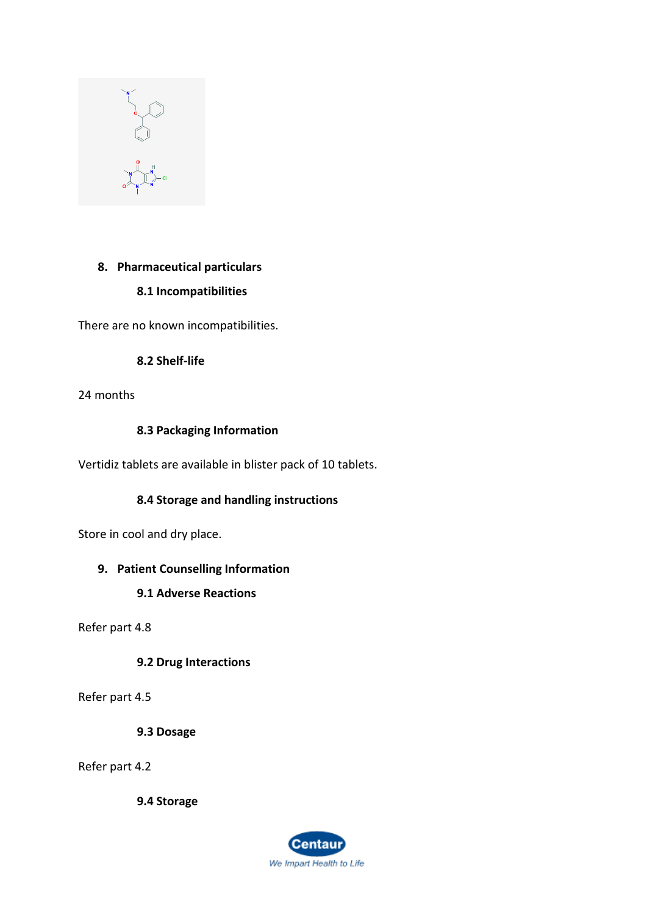

# **8. Pharmaceutical particulars**

# **8.1 Incompatibilities**

There are no known incompatibilities.

# **8.2 Shelf-life**

24 months

# **8.3 Packaging Information**

Vertidiz tablets are available in blister pack of 10 tablets.

# **8.4 Storage and handling instructions**

Store in cool and dry place.

# **9. Patient Counselling Information**

**9.1 Adverse Reactions**

Refer part 4.8

**9.2 Drug Interactions**

Refer part 4.5

**9.3 Dosage**

Refer part 4.2

**9.4 Storage**